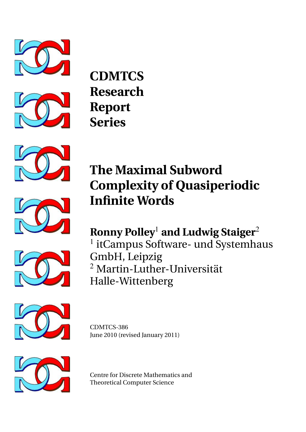



**CDMTCS Research Report Series**







**The Maximal Subword Complexity of Quasiperiodic Infinite Words**

**Ronny Polley**<sup>1</sup> **and Ludwig Staiger**<sup>2</sup> <sup>1</sup> itCampus Software- und Systemhaus

GmbH, Leipzig <sup>2</sup> Martin-Luther-Universität Halle-Wittenberg



CDMTCS-386 June 2010 (revised January 2011)



Centre for Discrete Mathematics and Theoretical Computer Science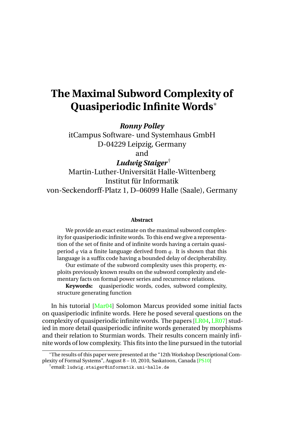# **The Maximal Subword Complexity of Quasiperiodic Infinite Words**<sup>∗</sup>

*Ronny Polley*

itCampus Software- und Systemhaus GmbH D-04229 Leipzig, Germany and

*Ludwig Staiger*†

Martin-Luther-Universität Halle-Wittenberg Institut für Informatik von-Seckendorff-Platz 1, D–06099 Halle (Saale), Germany

#### **Abstract**

We provide an exact estimate on the maximal subword complexity for quasiperiodic infinite words. To this end we give a representation of the set of finite and of infinite words having a certain quasiperiod *q* via a finite language derived from *q*. It is shown that this language is a suffix code having a bounded delay of decipherability.

Our estimate of the subword complexity uses this property, exploits previously known results on the subword complexity and elementary facts on formal power series and recurrence relations.

**Keywords:** quasiperiodic words, codes, subword complexity, structure generating function

In his tutorial [\[Mar04\]](#page-13-0) Solomon Marcus provided some initial facts on quasiperiodic infinite words. Here he posed several questions on the complexity of quasiperiodic infinite words. The papers [\[LR04,](#page-13-1) [LR07\]](#page-13-2) studied in more detail quasiperiodic infinite words generated by morphisms and their relation to Sturmian words. Their results concern mainly infinite words of low complexity. This fits into the line pursued in the tutorial

<sup>∗</sup>The results of this paper were presented at the "12th Workshop Descriptional Complexity of Formal Systems", August 8 – 10, 2010, Saskatoon, Canada [\[PS10\]](#page-13-3)

<sup>†</sup>email: ludwig.staiger@informatik.uni-halle.de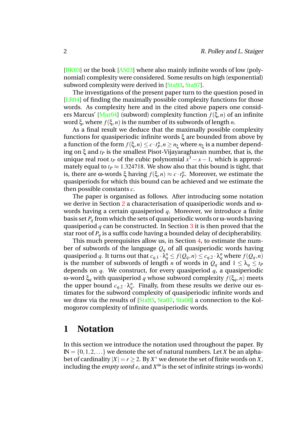[\[BK03\]](#page-13-4) or the book [\[AS03\]](#page-12-0) where also mainly infinite words of low (polynomial) complexity were considered. Some results on high (exponential) subword complexity were derived in [\[Sta93,](#page-14-0) [Sta97\]](#page-14-1).

The investigations of the present paper turn to the question posed in [\[LR04\]](#page-13-1) of finding the maximally possible complexity functions for those words. As complexity here and in the cited above papers one considers Marcus' [\[Mar04\]](#page-13-0) (subword) complexity function *f*(ξ,*n*) of an infinite word ξ, where *f*(ξ,*n*) is the number of its subwords of length *n*.

As a final result we deduce that the maximally possible complexity functions for quasiperiodic infinite words ξ are bounded from above by a function of the form  $f(\xi, n) \leq c \cdot t_p^n, n \geq n_{\xi}$  where  $n_{\xi}$  is a number depending on ξ and *t<sup>P</sup>* is the smallest Pisot-Vijayaraghavan number, that is, the unique real root  $t_P$  of the cubic polynomial  $x^3 - x - 1$ , which is approximately equal to  $t_P \approx 1.324718$ . We show also that this bound is tight, that is, there are ω-words ξ having  $f(\xi, n) \approx c \cdot t_p^n$ . Moreover, we estimate the quasiperiods for which this bound can be achieved and we estimate the then possible constants *c*.

The paper is organised as follows. After introducing some notation we derive in Section [2](#page-3-0) a characterisation of quasiperiodic words and ωwords having a certain quasiperiod *q*. Moreover, we introduce a finite basis set *P<sup>q</sup>* from which the sets of quasiperiodic words or ω-words having quasiperiod *q* can be constructed. In Section [3](#page-6-0) it is then proved that the star root of  $P_q$  is a suffix code having a bounded delay of decipherability.

This much prerequisites allow us, in Section [4,](#page-8-0) to estimate the number of subwords of the language *Q<sup>q</sup>* of all quasiperiodic words having quasiperiod *q*. It turns out that  $c_{q,1} \cdot \lambda_q^n \leq f(Q_q, n) \leq c_{q,2} \cdot \lambda_q^n$  where  $f(Q_q, n)$ is the number of subwords of length *n* of words in  $Q_q$  and  $1 \leq \lambda_q \leq t_P$ depends on *q*. We construct, for every quasiperiod *q*, a quasiperiodic ω-word ξ*<sup>q</sup>* with quasiperiod *q* whose subword complexity *f*(ξ*q*,*n*) meets the upper bound  $c_{q,2} \cdot \lambda_q^n$ . Finally, from these results we derive our estimates for the subword complexity of quasiperiodic infinite words and we draw via the results of [\[Sta93,](#page-14-0) [Sta07,](#page-14-2) [Sta08\]](#page-14-3) a connection to the Kolmogorov complexity of infinite quasiperiodic words.

## **1 Notation**

In this section we introduce the notation used throughout the paper. By  $\mathbb{N} = \{0, 1, 2, \ldots\}$  we denote the set of natural numbers. Let *X* be an alphabet of cardinality  $|X| = r \geq 2$ . By  $X^*$  we denote the set of finite words on  $X$ , including the *empty word*  $e$ , and  $X^{\omega}$  is the set of infinite strings ( $\omega$ -words)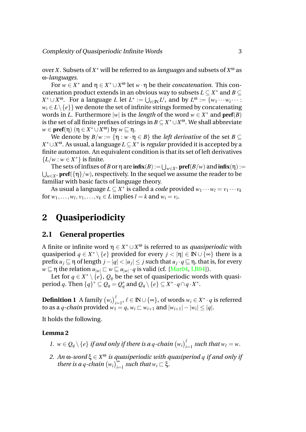over *X*. Subsets of *X* <sup>∗</sup> will be referred to as *languages* and subsets of *X* <sup>ω</sup> as ω*-languages*.

For  $w \in X^*$  and  $\eta \in X^* \cup X^{\omega}$  let  $w \cdot \eta$  be their *concatenation*. This concatenation product extends in an obvious way to subsets  $L \subseteq X^*$  and  $B \subseteq$  $X^* \cup X^{\omega}$ . For a language *L* let  $L^* := \bigcup_{i \in \mathbb{N}} L^i$ , and by  $L^{\omega} := \{w_1 \cdots w_i \cdots : w_i \cdots \}$  $w_i \in L \setminus \{e\}$  we denote the set of infinite strings formed by concatenating words in *L*. Furthermore  $|w|$  is the *length* of the word  $w \in X^*$  and  $\text{pref}(B)$ is the set of all finite prefixes of strings in *B* ⊆ *X* <sup>∗</sup>∪*X* <sup>ω</sup>. We shall abbreviate *w* ∈ **pref**(η) (η ∈ *X*<sup>\*</sup> ∪ *X*<sup>ω</sup>) by *w* ⊆ η.

We denote by  $B/w := \{\eta : w \cdot \eta \in B\}$  the *left derivative* of the set  $B \subseteq$ *X* <sup>∗</sup>∪*X* <sup>ω</sup>. As usual, a language *L* ⊆ *X* ∗ is *regular* provided it is accepted by a finite automaton. An equivalent condition is that its set of left derivatives  ${L/w : w \in X^*}$  is finite.

The sets of infixes of *B* or  $\eta$  are  $\textbf{infix}(B) := \bigcup_{w \in X^*} \textbf{pref}(B/w)$  and  $\textbf{infix}(\eta) :=$ S *<sup>w</sup>*∈*X*<sup>∗</sup> pref({η}/*w*), respectively. In the sequel we assume the reader to be familiar with basic facts of language theory.

As usual a language  $L \subseteq X^*$  is called a *code* provided  $w_1 \cdots w_l = v_1 \cdots v_k$ for  $w_1, \ldots, w_l, v_1, \ldots, v_k \in L$  implies  $l = k$  and  $w_i = v_i$ .

# <span id="page-3-0"></span>**2 Quasiperiodicity**

### **2.1 General properties**

A finite or infinite word  $\eta \in X^* \cup X^{\omega}$  is referred to as *quasiperiodic* with quasiperiod  $q \in X^* \setminus \{e\}$  provided for every  $j < |\eta| \in \mathbb{N} \cup \{\infty\}$  there is a  $\text{prefix } u_j \sqsubseteq \text{$\eta$ of length } j - |q| < |u_j| \leq j \text{ such that } u_j \cdot q \sqsubseteq \text{$\eta$}, \text{ that is, for every}$  $\overline{w} \sqsubseteq \eta$  the relation  $u_{|w|} \sqsubset w \sqsubseteq u_{|w|} \cdot q$  is valid (cf. [\[Mar04,](#page-13-0) [LR04\]](#page-13-1)).

Let for  $q \in X^* \setminus \{e\}$ ,  $Q_q$  be the set of quasiperiodic words with quasi- $\text{period } q. \text{ Then } \{q\}^* \subseteq Q_q = Q_q^* \text{ and } Q_q \setminus \{e\} \subseteq X^* \cdot q \cap q \cdot X^*.$ 

 $\textbf{Definition 1}\ \textbf{A family}\ \big(w_i\big)_{i=1}^\ell,\ \ell\in\mathbb{N}\cup\{\infty\},\ \textbf{of words}\ w_i\in X^*\cdot q\ \textbf{is referred}$ to as a *q*-chain provided  $w_1 = q$ ,  $w_i \sqsubset w_{i+1}$  and  $|w_{i+1}| - |w_i| \leq |q|$ .

It holds the following.

#### **Lemma 2**

- *1.*  $w \in Q_q \setminus \{e\}$  if and only if there is a *q*-chain  $(w_i)_{i=1}^{\ell}$  such that  $w_{\ell} = w$ .
- *2. An* ω-word ξ ∈  $X^\omega$  *is quasiperiodic with quasiperiod q if and only if there is a q-chain*  $(w_i)_{i=1}^{\infty}$  *such that*  $w_i \subset \xi$ .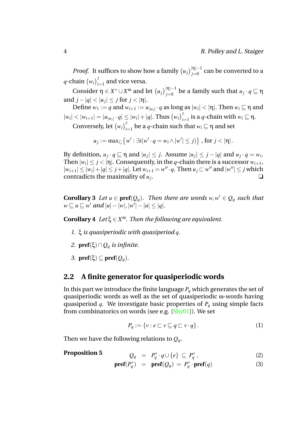*Proof.* It suffices to show how a family  $(u_j)_{j=0}^{|\eta|-1}$  can be converted to a *q*-chain  $(w_i)_{i=1}^{\ell}$  and vice versa.

 $\Box$  Consider  $η ∈ X^* ∪ X^ω$  and let  $(u_j)_{j=0}^{|η|-1}$  be a family such that  $u_j \cdot q ⊡ η$ and  $j - |q| < |u_j| \le j$  for  $j < |\eta|$ .

Define  $w_1 := q$  and  $w_{i+1} := u_{|w_i|} \cdot q$  as long as  $|w_i| < |η|$ . Then  $w_i ⊆ η$  and  $|w_i| < |w_{i+1}| = |u_{|w_i|} \cdot q| \le |w_i| + |q|.$  Thus  $(w_i)_{i=1}^{\ell}$  is a *q*-chain with  $w_i \sqsubseteq \eta$ .

Conversely, let  $(w_i)_{i=1}^{\ell}$  be a *q*-chain such that  $w_i \sqsubseteq \eta$  and set

 $u_j := \max_{\square} \{ w' : \exists i (w' \cdot q = w_i \wedge |w'| \leq j) \}$ , for  $j < |\eta|$ .

By definition,  $u_j \cdot q \sqsubseteq \eta$  and  $|u_j| \leq j$ . Assume  $|u_j| \leq j - |q|$  and  $u_j \cdot q = w_i$ . Then  $|w_i| \leq j < |\eta|$ . Consequently, in the *q*-chain there is a successor  $w_{i+1}$ ,  $|w_{i+1}| \leq |w_i| + |q| \leq j + |q|$ . Let  $w_{i+1} = w'' \cdot q$ . Then  $u_j \subset w''$  and  $|w''| \leq j$  which contradicts the maximality of  $u_j$ . . ❏

**Corollary 3** *Let*  $u \in \text{pref}(Q_q)$ *. Then there are words*  $w, w' \in Q_q$  *such that*  $w \sqsubseteq u \sqsubseteq w'$  and  $|u| - |w|, |w'| - |u| \le |q|$ .

<span id="page-4-1"></span>**Corollary 4** *Let* $\xi \in X^{\omega}$ *. Then the following are equivalent.* 

- *1.* ξ *is quasiperiodic with quasiperiod q.*
- *2.* pref(ξ)∩*Q<sup>q</sup> is infinite.*
- *3.* **pref**( $ξ)$  ⊆ **pref**( $Q<sub>a</sub>$ ).

### **2.2 A finite generator for quasiperiodic words**

In this part we introduce the finite language  $P_q$  which generates the set of quasiperiodic words as well as the set of quasiperiodic ω-words having quasiperiod *q*. We investigate basic properties of *P<sup>q</sup>* using simple facts from combinatorics on words (see e.g.  $[Shy01]$ ). We set

<span id="page-4-2"></span>
$$
P_q := \{ v : e \sqsubset v \sqsubseteq q \sqsubset v \cdot q \}.
$$
 (1)

Then we have the following relations to *Qq*.

#### **Proposition 5** *<sup>Q</sup><sup>q</sup>* <sup>=</sup> *<sup>P</sup>*

<span id="page-4-0"></span>
$$
Q_q = P_q^* \cdot q \cup \{e\} \subseteq P_q^*, \tag{2}
$$

$$
\text{pref}(P_q^*) = \text{pref}(Q_q) = P_q^* \cdot \text{pref}(q) \tag{3}
$$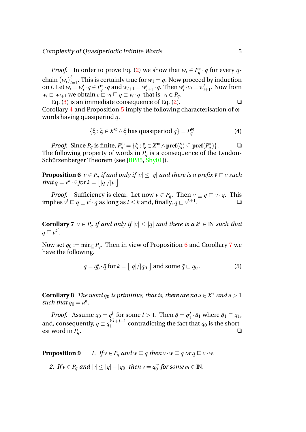*Proof.* In order to prove Eq. [\(2\)](#page-4-0) we show that  $w_i \in P_q^* \cdot q$  for every *q*chain  $(w_i)_{i=1}^{\ell}$ . This is certainly true for  $w_1 = q$ . Now proceed by induction on *i*. Let  $w_i = w'_i \cdot q \in P_q^* \cdot q$  and  $w_{i+1} = w'_i$  $v'_{i+1} \cdot q$ . Then  $w'_{i} \cdot v_{i} = w'_{i}$  $t'_{i+1}$ . Now from  $w_i \sqsubset w_{i+1}$  we obtain  $e \sqsubset v_i \sqsubseteq q \sqsubset v_i \cdot q$ , that is,  $v_i \in P_q$ .

Eq.  $(3)$  is an immediate consequence of Eq.  $(2)$ . Corollary [4](#page-4-1) and Proposition [5](#page-4-2) imply the following characterisation of ωwords having quasiperiod *q*.

<span id="page-5-0"></span>
$$
\{\xi : \xi \in X^{\omega} \wedge \xi \text{ has quasiperiod } q\} = P_q^{\omega} \tag{4}
$$

*Proof.* Since  $P_q$  is finite,  $P_q^{\omega} = \{\xi : \xi \in X^{\omega} \wedge \textbf{pref}(\xi) \subseteq \textbf{pref}(P_q^*)\}.$   $\Box$ The following property of words in  $P_q$  is a consequence of the Lyndon-Schützenberger Theorem (see  $[BP85, Shy01]$  $[BP85, Shy01]$  $[BP85, Shy01]$  $[BP85, Shy01]$ ).

**Proposition 6**  $v \in P_q$  *if and only if*  $|v| \le |q|$  *and there is a prefix*  $\bar{v} \subset v$  *such that*  $q = v^k \cdot \bar{v}$  *for*  $k = |q|/|v|$ .

<span id="page-5-1"></span>*Proof.* Sufficiency is clear. Let now  $v \in P_q$ . Then  $v \sqsubseteq q \sqsubset v \cdot q$ . This  $\int$  implies  $v^l \sqsubseteq q \sqsubset v^l \cdot q$  as long as  $l \leq k$  and, finally,  $q \sqsubset v^{k+1}$ . ❏

**Corollary 7**  $v \in P_q$  *if and only if*  $|v| \le |q|$  *and there is a*  $k' \in \mathbb{N}$  *such that*  $q \sqsubseteq v^{k'}$ .

Now set  $q_0 := \min_{\square} P_q$ . Then in view of Proposition [6](#page-5-0) and Corollary [7](#page-5-1) we have the following.

$$
q = q_0^k \cdot \bar{q} \text{ for } k = \lfloor |q|/|q_0| \rfloor \text{ and some } \bar{q} \sqsubset q_0.
$$
 (5)

**Corollary 8** *The word*  $q_0$  *is primitive, that is, there are no*  $u \in X^*$  *and*  $n > 1$ such that  $q_0 = u^n$ .

*Proof.* Assume  $q_0 = q_1^l$  $\frac{l}{1}$  for some  $l > 1$ . Then  $\bar{q} = q_1^j$  $\bar{q}_1 \cdot \bar{q}_1$  where  $\bar{q}_1 \sqsubset q_1$ , and, consequently,  $q \sqsubset q_1^{k\cdot l + j + 1}$  $a_1^{k+l}$  contradicting the fact that  $q_0$  is the shortest word in  $P_q$ .  $\Box$ 

<span id="page-5-4"></span><span id="page-5-2"></span>**Proposition 9** *1. If*  $v \in P_q$  *and*  $w \sqsubseteq q$  *then*  $v \cdot w \sqsubseteq q$  *or*  $q \sqsubseteq v \cdot w$ *.* 

<span id="page-5-3"></span>*2. If*  $v \in P_q$  *and*  $|v| \le |q| - |q_0|$  *then*  $v = q_0^m$  $\int_{0}^{m}$  for some  $m \in \mathbb{N}$ .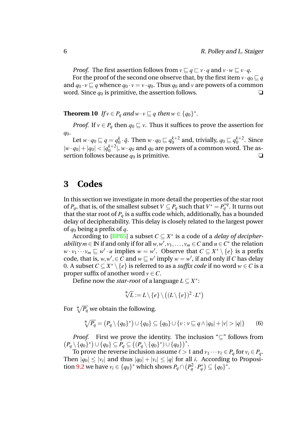*Proof.* The first assertion follows from  $v \sqsubseteq q \sqsubseteq v \cdot q$  and  $v \cdot w \sqsubseteq v \cdot q$ . For the proof of the second one observe that, by the first item  $v \cdot q_0 \sqsubseteq q$ and  $q_0 \cdot v \sqsubseteq q$  whence  $q_0 \cdot v = v \cdot q_0$ . Thus  $q_0$  and  $v$  are powers of a common

<span id="page-6-1"></span>word. Since  $q_0$  is primitive, the assertion follows.  $\Box$ 

**Theorem 10** *If*  $v \in P_q$  *and*  $w \cdot v \sqsubseteq q$  *then*  $w \in \{q_0\}^*$ .

*Proof.* If  $v \in P_q$  then  $q_0 \sqsubseteq v$ . Thus it suffices to prove the assertion for *q*0.

Let  $w \cdot q_0 \sqsubseteq q = q_0^k$  $\mathbf{Q}_0^k \cdot \bar{\mathbf{q}}$ . Then  $w \cdot q_0 \sqsubseteq q_0^{k+2}$  $a_0^{k+2}$  and, trivially,  $q_0 \sqsubseteq q_0^{k+2}$  $_0^{\kappa+2}$ . Since  $|w \cdot q_0| + |q_0| < |q_0^{k+2}|$  $\binom{k+2}{0}$ ,  $w \cdot q_0$  and  $q_0$  are powers of a common word. The assertion follows because  $q_0$  is primitive.  $\Box$ 

# <span id="page-6-0"></span>**3 Codes**

In this section we investigate in more detail the properties of the star root of  $P_q$ , that is, of the smallest subset  $V \subseteq P_q$  such that  $V^* = P_q^{*q}$ . It turns out that the star root of  $P_q$  is a suffix code which, additionally, has a bounded delay of decipherability. This delay is closely related to the largest power of *q*<sup>0</sup> being a prefix of *q*.

According to  $[BP85]$  a subset  $C \subseteq X^*$  is a code of a *delay of decipherability*  $m \in \mathbb{N}$  if and only if for all  $w, w', v_1, \ldots, v_m \in C$  and  $u \in C^*$  the relation  $w \cdot v_1 \cdots v_m \sqsubseteq w' \cdot u$  implies  $w = w'$ . Observe that  $C \subseteq X^* \setminus \{e\}$  is a prefix code, that is,  $w, w', \in \overline{C}$  and  $w \sqsubseteq w'$  imply  $w = w'$ , if and only if *C* has delay 0. A subset  $C ⊆ X^* \setminus \{e\}$  is referred to as a *suffix code* if no word *w* ∈ *C* is a proper suffix of another word  $v \in C$ .

Define now the *star-root* of a language *L* ⊆ *X* ∗ :

$$
\sqrt[k]{L} := L \setminus \{e\} \setminus ((L \setminus \{e\})^2 \cdot L^*)
$$

For  $\sqrt[*]{P_q}$  we obtain the following.

$$
\sqrt[*]{P_q} = (P_q \setminus \{q_0\}^*) \cup \{q_0\} \subseteq \{q_0\} \cup \{v : v \sqsubseteq q \land |q_0| + |v| > |q|\}
$$
(6)

 $(P_q \setminus \{q_0\}^*) \cup \{q_0\} \subseteq P_q \subseteq ((P_q \setminus \{q_0\}^*) \cup \{q_0\})^*.$ *Proof.* First we prove the identity. The inclusion "⊆" follows from

To prove the reverse inclusion assume  $\ell > 1$  and  $v_1 \cdots v_\ell \in P_q$  for  $v_i \in P_q$ . Then  $|q_0| \le |v_i|$  and thus  $|q_0| + |v_i| \le |q|$  for all *i*. According to Proposi-tion [9.](#page-5-2)[2](#page-5-3) we have  $v_i \in \{q_0\}^*$  which shows  $P_q \cap (P_q^2 \cdot P_q^*) \subseteq \{q_0\}^*$ .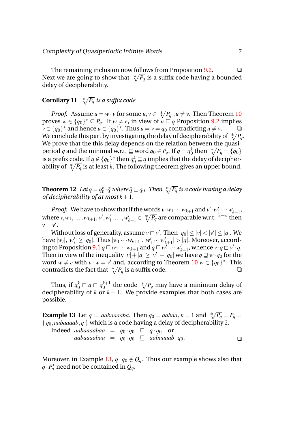The remaining inclusion now follows from Proposition  $9.2$  $9.2$ .  $\Box$ Next we are going to show that  $\sqrt[k]{P_q}$  is a suffix code having a bounded delay of decipherability.

# **Corollary 11**  $\sqrt[*]{P_q}$  *is a suffix code.*

*Proof.* Assume  $u = w \cdot v$  for some  $u, v \in \sqrt[k]{P_q}$ ,  $u \neq v$ . Then Theorem [10](#page-6-1) proves  $w \in \{q_0\}^* \subseteq P_q$ . If  $w \neq e$ , in view of  $u \sqsubseteq q$  Proposition [9.](#page-5-2)[2](#page-5-3) implies  $v \in \{q_0\}^*$  and hence  $u \in \{q_0\}^*$ . Thus  $u = v = q_0$  contradicting  $u \neq v$ .  $\Box$ We conclude this part by investigating the delay of decipherability of  $\sqrt[*]{P_q}$ . We prove that the this delay depends on the relation between the quasiperiod  $q$  and the minimal w.r.t.  $\sqsubseteq$  word  $q_0$   $\in$   $P_q.$  If  $q$   $=$   $q_0^k$  $\frac{k}{0}$  then  $\sqrt[n]{P_q} = \{q_0\}$ is a prefix code. If  $q \notin \{q_0\}^*$  then  $q_0^k \sqsubseteq q$  implies that the delay of decipherability of  $\sqrt[n]{P_q}$  is at least *k*. The following theorem gives an upper bound.

**Theorem 12** *Let*  $q = q_0^k$  $\frac{k}{0} \cdot \bar{q}$  where  $\bar{q} \sqsubset q_0$ . Then  $\sqrt[*]{P_q}$  is a code having a delay *of decipherability of at most*  $k + 1$ .

*Proof.* We have to show that if the words  $v \cdot w_1 \cdots w_{k+1}$  and  $v' \cdot w_1$  $y'_1 \cdots w'_k$ *k*+1 , where  $v, w_1, \ldots, w_{k+1}, v', w'_{k}$  $w'_k, \ldots, w'_{k+1} \in \sqrt[k]{P_q}$  are comparable w.r.t. " $\sqsubseteq$ " then  $v = v'.$ 

Without loss of generality, assume  $v \sqsubset v'$ . Then  $|q_0| \le |v| < |v'| \le |q|$ . We  $|\hat{w}_i|, |\hat{w}'_i| \geq |q_0|$ . Thus  $|w_1 \cdots w_{k+1}|, |w'|$  $\frac{1}{1} \cdots w_i$  $|q|$ . Moreover, accord- $\mathbf{u}_1 \mathbf{v}_2$  ing to Proposition [9](#page-5-2)[.1](#page-5-4)  $q \sqsubseteq w_1 \cdots w_{k+1}$  and  $q \sqsubseteq w_1'$  $\sum_{1}^{j} \cdots w_{k}^{j}$  $\sum_{k+1}^{\prime}$ , whence  $v \cdot q \sqsubset v' \cdot q$ . Then in view of the inequality  $|v|+|q| \ge |v'|+|q_0|$  we have  $q \sqsupseteq w \cdot q_0$  for the word  $w \neq e$  with  $v \cdot w = v'$  and, according to Theorem [10](#page-6-1)  $w \in \{q_0\}^*$ . This contradicts the fact that  $\sqrt[n]{P_q}$  is a suffix code.

<span id="page-7-0"></span>Thus, if  $q_0^k \sqsubset q \sqsubset q_0^{k+1}$  $_{0}^{k+1}$  the code  $\sqrt[k]{P_{q}}$  may have a minimum delay of decipherability of *k* or  $k + 1$ . We provide examples that both cases are possible.

**Example 13** Let *q* := *aabaaaaba*. Then *q*<sub>0</sub> = *aabaa*, *k* = 1 and  $\sqrt[*]{P_q} = P_q$  = {*q*0,*aabaaaab*,*q* } which is a code having a delay of decipherability 2.

Indeed aabaaaabaa = 
$$
q_0 \cdot q_0
$$
 ⊡  $q \cdot q_0$  or  
aabaaaabaa =  $q_0 \cdot q_0$  ⊆ aabaaaab ·  $q_0$ .

Moreover, in Example [13,](#page-7-0)  $q \cdot q_0 \notin Q_q$ . Thus our example shows also that  $q \cdot P_q^*$  need not be contained in  $Q_q$ .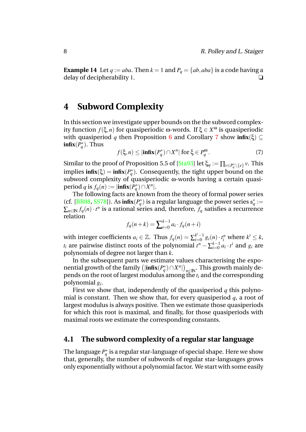**Example 14** Let  $q := aba$ . Then  $k = 1$  and  $P_q = \{ab, aba\}$  is a code having a delay of decipherability 1.

# <span id="page-8-0"></span>**4 Subword Complexity**

In this section we investigate upper bounds on the the subword complexity function *f*(ξ,*n*) for quasiperiodic ω-words. If ξ ∈ *X* <sup>ω</sup> is quasiperiodic with quasiperiod *q* then Proposition [6](#page-5-0) and Corollary [7](#page-5-1) show infix( $\xi$ ) ⊆  $\inf x(P_q^*)$ . Thus

<span id="page-8-1"></span>
$$
f(\xi, n) \le |\mathbf{infix}(P_q^*) \cap X^n| \text{ for } \xi \in P_q^{\omega}.
$$
 (7)

Similar to the proof of Proposition 5.5 of [\[Sta93\]](#page-14-0) let  $\xi_q := \prod_{v \in P_q^* \setminus \{e\}} v.$  This implies  $\text{infix}(\xi) = \text{infix}(P_q^*)$ . Consequently, the tight upper bound on the subword complexity of quasiperiodic ω-words having a certain quasiperiod *q* is  $f_q(n) := |\text{infix}(P_q^*) \cap X^n|$ .

The following facts are known from the theory of formal power series (cf. [\[BR88,](#page-13-7) [SS78\]](#page-13-8)). As  $\inf x(P_q^*)$  is a regular language the power series  $\mathfrak{s}_q^* :=$  $\sum_{n\in \mathbb{N}} f_q(n) \cdot t^n$  is a rational series and, therefore,  $f_q$  satisfies a recurrence relation

$$
f_q(n+k) = \sum_{i=0}^{k-1} a_i \cdot f_q(n+i)
$$

with integer coefficients  $a_i \in \mathbb{Z}$ . Thus  $f_q(n) = \sum_{i=0}^{k'-1}$  $a_{i=0}^{k'-1} g_i(n) \cdot t_i^n$  where  $k' \leq k$ ,  $t_i$  are pairwise distinct roots of the polynomial  $t^n - \sum_{i=0}^{k-1}$  $_{i=0}^{k-1} a_i \cdot t^i$  and  $g_i$  are polynomials of degree not larger than *k*.

In the subsequent parts we estimate values characterising the exponential growth of the family  $(|\textbf{infix}(P_q^*) \cap X^n|)_{n \in \mathbb{N}}$ . This growth mainly depends on the root of largest modulus among the *t<sup>i</sup>* and the corresponding polynomial *g<sup>i</sup>* .

First we show that, independently of the quasiperiod *q* this polynomial is constant. Then we show that, for every quasiperiod *q*, a root of largest modulus is always positive. Then we estimate those quasiperiods for which this root is maximal, and finally, for those quasiperiods with maximal roots we estimate the corresponding constants.

### **4.1 The subword complexity of a regular star language**

The language  $P_q^*$  is a regular star-language of special shape. Here we show that, generally, the number of subwords of regular star-languages grows only exponentially without a polynomial factor. We start with some easily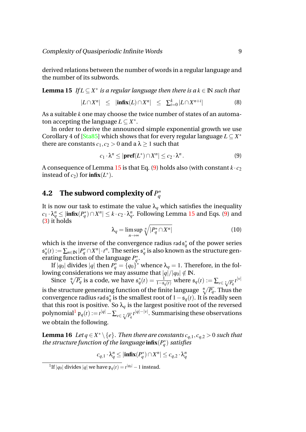derived relations between the number of words in a regular language and the number of its subwords.

**Lemma 15** *If*  $L \subseteq X^*$  *is a regular language then there is a*  $k \in \mathbb{N}$  *such that* 

<span id="page-9-0"></span>
$$
|L \cap X^n| \leq |\mathbf{infix}(L) \cap X^n| \leq \sum_{i=0}^k |L \cap X^{n+i}| \tag{8}
$$

As a suitable *k* one may choose the twice number of states of an automaton accepting the language  $L \subseteq X^*$ .

In order to derive the announced simple exponential growth we use Corollary 4 of [\[Sta85\]](#page-14-4) which shows that for every regular language *L* ⊆ *X* ∗ there are constants  $c_1, c_2 > 0$  and a  $\lambda > 1$  such that

<span id="page-9-1"></span>
$$
c_1 \cdot \lambda^n \le |\mathbf{pref}(L^*) \cap X^n| \le c_2 \cdot \lambda^n. \tag{9}
$$

A consequence of Lemma [15](#page-9-0) is that Eq. [\(9\)](#page-9-1) holds also (with constant  $k \cdot c_2$ instead of  $c_2$ ) for  $\inf x(L^*)$ .

#### **4.2** The subword complexity of  $P^*_{q}$ *q*

It is now our task to estimate the value  $\lambda_q$  which satisfies the inequality  $c_1 \cdot \lambda_q^n \le |\text{infix}(P_q^*) \cap X^n| \le k \cdot c_2 \cdot \lambda_q^n$ . Following Lemma [15](#page-9-0) and Eqs. [\(9\)](#page-9-1) and [\(3\)](#page-4-0) it holds

$$
\lambda_q = \limsup_{n \to \infty} \sqrt[n]{|P_q^* \cap X^n|}
$$
 (10)

which is the inverse of the convergence radius  $\mathsf{rad} \mathfrak{s}^*_q$  of the power series  $\mathfrak{s}^*_q(t):=\sum_{n\in \mathbb{N}}|P^*_q\cap X^n|\cdot t^n.$  The series  $\mathfrak{s}^*_q$  is also known as the structure generating function of the language  $P_q^*$ .

If  $|q_0|$  divides  $|q|$  then  $P^*_q = \overline{\{q_0\}}^*$  whence  $\lambda_q = 1.$  Therefore, in the following considerations we may assume that  $|q|/|q_0| \notin \mathbb{N}$ .

Since  $\sqrt[k]{P_q}$  is a code, we have  $\mathfrak{s}_q^*(t) = \frac{1}{1-\mathfrak{s}_q(t)}$  where  $\mathfrak{s}_q(t) := \sum_{v \in \sqrt[k]{P_q}} t^{|v|}$ is the structure generating function of the finite language  $\sqrt[*]{P_q}.$  Thus the convergence radius rad $\mathfrak{s}^*_{q}$  is the smallest root of  $1-\mathfrak{s}_{q}(t)$ . It is readily seen that this root is positive. So  $\lambda_q$  is the largest positive root of the reversed polynomial $^1$  $^1$   $\mathfrak{p}_q(t)$  :=  $t^{|q|}-\sum_{v\in \sqrt[p]{P_q}} t^{|q|-|v|}.$  Summarising these observations we obtain the following.

**Lemma 16** *Let*  $q \in X^* \setminus \{e\}$ . Then there are constants  $c_{q,1}, c_{q,2} > 0$  such that *the structure function of the language*  $\text{infix}(P_q^*)$  *satisfies* 

<span id="page-9-3"></span>
$$
c_{q,1} \cdot \lambda_q^n \le |\mathbf{infix}(P_q^*) \cap X^n| \le c_{q,2} \cdot \lambda_q^n
$$

<span id="page-9-2"></span><sup>&</sup>lt;sup>1</sup>If | $q_0$ | divides | $q$ | we have  $p_q(t) = t^{|q_0|} - 1$  instead.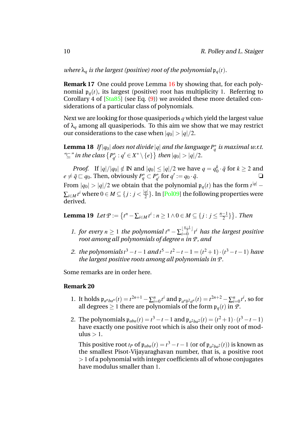*where*  $\lambda_q$  *is the largest (positive) root of the polynomial*  $\mathfrak{p}_q(t)$ *.* 

**Remark 17** One could prove Lemma [16](#page-9-3) by showing that, for each polynomial  $\mathfrak{p}_q(t)$ , its largest (positive) root has multiplicity 1. Referring to Corollary 4 of [\[Sta85\]](#page-14-4) (see Eq. [\(9\)](#page-9-1)) we avoided these more detailed considerations of a particular class of polynomials.

Next we are looking for those quasiperiods *q* which yield the largest value of  $\lambda_q$  among all quasiperiods. To this aim we show that we may restrict our considerations to the case when  $|q_0| > |q|/2$ .

**Lemma 18** If  $|q_0|$  does not divide  $|q|$  and the language  $P_q^*$  is maximal w.r.t. *"*⊆*" in the class P* ∗  $\{q' : q' \in X^* \setminus \{e\}\}$  then  $|q_0| > |q|/2$ .

*Proof.* If  $|q|/|q_0| \notin \mathbb{N}$  and  $|q_0| \leq |q|/2$  we have  $q = q_0^k$  $\frac{k}{0} \cdot \bar{q}$  for  $k \geq 2$  and  $e \neq \bar{q} \sqsubset q_0$ . Then, obviously  $P_q^* \subset P_{q'}^*$  $q'_{q'}$  for  $q' := q_0 \cdot \bar{q}$ . From  $|q_0| > |q|/2$  we obtain that the polynomial  $\mathfrak{p}_q(t)$  has the form  $t^{|q|}$  –  $\sum_{i \in M} t^i$  where  $0 \in M \subseteq \{j: j < \frac{|q|}{2}$  $\frac{q_{\parallel}}{2}$ }. In [\[Pol09\]](#page-13-9) the following properties were derived.

<span id="page-10-0"></span>**Lemma 19** *Let*  $P := \{t^n - \sum_{i \in M} t^i : n \ge 1 \land 0 \in M \subseteq \{j : j \le \frac{n-1}{2}\}\}$  $\frac{-1}{2}\}$ . Then

- *1. for every*  $n \geq 1$  *the polynomial*  $t^n \sum_{i=0}^{\lfloor \frac{n-1}{2} \rfloor}$  $\int_{i=0}^{\lfloor \frac{n}{2} \rfloor} t^i$  has the largest positive *root among all polynomials of degree n in P, and*
- 2. *the polynomials*  $t^3 t 1$  *and*  $t^5 t^2 t 1 = (t^2 + 1) \cdot (t^3 t 1)$  *have the largest positive roots among all polynomials in P.*

Some remarks are in order here.

#### **Remark 20**

- 1. It holds  $\mathfrak{p}_{a^nba^n}(t) = t^{2n+1} \sum_{i=0}^n t^i$  and  $\mathfrak{p}_{a^n b^2 a^n}(t) = t^{2n+2} \sum_{i=0}^n t^i$ , so for all degrees  $\geq 1$  there are polynomials of the form  $\mathfrak{p}_q(t)$  in  $\overline{P}$ .
- 2. The polynomials  $\mathfrak{p}_{aba}(t) = t^3 t 1$  and  $\mathfrak{p}_{a^2ba^2}(t) = (t^2 + 1) \cdot (t^3 t 1)$ have exactly one positive root which is also their only root of modulus  $> 1$ .

This positive root  $t_P$  of  $\mathfrak{p}_{aba}(t) = t^3 - t - 1$  (or of  $\mathfrak{p}_{a^2ba^2}(t)$ ) is known as the smallest Pisot-Vijayaraghavan number, that is, a positive root > 1 of a polynomial with integer coefficients all of whose conjugates have modulus smaller than 1.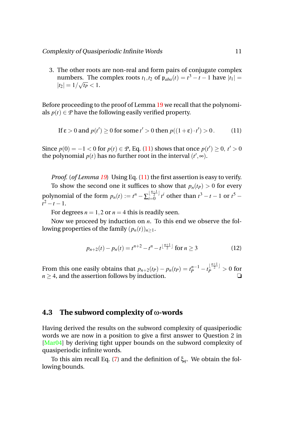3. The other roots are non-real and form pairs of conjugate complex numbers. The complex roots  $t_1$ , $t_2$  of  $\mathfrak{p}_{aba}(t) = t^3 - t - 1$  have  $|t_1| =$  $|t_2| = 1/\sqrt{t_P} < 1.$ 

Before proceeding to the proof of Lemma [19](#page-10-0) we recall that the polynomials  $p(t) \in \mathcal{P}$  have the following easily verified property.

<span id="page-11-0"></span>If 
$$
\varepsilon > 0
$$
 and  $p(t') \ge 0$  for some  $t' > 0$  then  $p((1 + \varepsilon) \cdot t') > 0$ . (11)

Since  $p(0) = -1 < 0$  for  $p(t) \in \mathcal{P}$ , Eq. [\(11\)](#page-11-0) shows that once  $p(t') \ge 0$ ,  $t' > 0$ the polynomial  $p(t)$  has no further root in the interval  $(t',\infty)$ .

*Proof.* (*of Lemma [19](#page-10-0)*) Using Eq. [\(11\)](#page-11-0) the first assertion is easy to verify. To show the second one it suffices to show that  $p_n(t_p) > 0$  for every

polynomial of the form  $p_n(t) := t^n - \sum_{i=0}^{\lfloor \frac{n-1}{2} \rfloor}$  $\int_{t=0}^{\lfloor \frac{n-1}{2} \rfloor} t^i$  other than  $t^3 - t - 1$  or  $t^5$  $t^2 - t - 1$ .

For degrees  $n = 1, 2$  or  $n = 4$  this is readily seen.

Now we proceed by induction on *n*. To this end we observe the following properties of the family  $(p_n(t))_{n\geq 1}$ .

$$
p_{n+2}(t) - p_n(t) = t^{n+2} - t^n - t^{\lfloor \frac{n+1}{2} \rfloor} \text{ for } n \ge 3
$$
 (12)

From this one easily obtains that  $p_{n+2}(t_P) - p_n(t_P) = t_P^{n-1} - t_P^{\lfloor \frac{n+1}{2} \rfloor} > 0$  for  $n \geq 4$ , and the assertion follows by induction.

### **4.3 The subword complexity of** ω**-words**

Having derived the results on the subword complexity of quasiperiodic words we are now in a position to give a first answer to Question 2 in [\[Mar04\]](#page-13-0) by deriving tight upper bounds on the subword complexity of quasiperiodic infinite words.

To this aim recall Eq. [\(7\)](#page-8-1) and the definition of ξ*q*. We obtain the following bounds.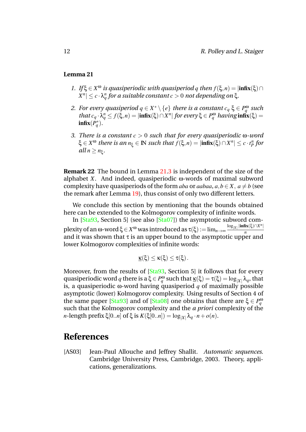#### <span id="page-12-1"></span>**Lemma 21**

- *1. If*  $\xi \in X^{\omega}$  *is quasiperiodic with quasiperiod q then*  $f(\xi, n) = |\text{infx}(\xi) \cap \mathbb{I}|$  $|X^n| \leq c \cdot \lambda_q^n$  for a suitable constant  $c > 0$  not depending on ξ.
- 2. *For every quasiperiod*  $q \in X^* \setminus \{e\}$  *there is a constant*  $c_q \xi \in P_q^{\omega}$  *such that*  $c_q \cdot \lambda_q^n \leq f(\xi, n) = |\text{infix}(\xi) \cap X^n|$  *for every*  $\xi \in P_q^{\omega}$  *having*  $\text{infix}(\xi) =$  $\inf$ **x** $(P_q^*)$ .
- <span id="page-12-2"></span>*3. There is a constant c* > 0 *such that for every quasiperiodic* ω*-word*  $\xi \in X^{\omega}$  *there is an*  $n_{\xi} \in \mathbb{N}$  *such that*  $f(\xi, n) = |\text{infix}(\xi) \cap X^n| \le c \cdot t_P^n$  for  $all n \geq n_{\xi}$ .

**Remark 22** The bound in Lemma [21](#page-12-1)[.3](#page-12-2) is independent of the size of the alphabet *X*. And indeed, quasiperiodic ω-words of maximal subword complexity have quasiperiods of the form *aba* or *aabaa*,  $a, b \in X$ ,  $a \neq b$  (see the remark after Lemma [19\)](#page-10-0), thus consist of only two different letters.

We conclude this section by mentioning that the bounds obtained here can be extended to the Kolmogorov complexity of infinite words.

In [\[Sta93,](#page-14-0) Section 5] (see also [\[Sta07\]](#page-14-2)) the asymptotic subword complexity of an ω-word  $\xi \in X^{\omega}$  was introduced as  $\tau(\xi) := \lim_{n \to \infty} \frac{\log_{|X|} |\inf_{x(\xi) \cap X^n|}}{n}$ *n* and it was shown that  $\tau$  is an upper bound to the asymptotic upper and lower Kolmogorov complexities of infinite words:

$$
\underline{\kappa}(\xi)\leq \kappa(\xi)\leq \tau(\xi)\,.
$$

Moreover, from the results of [\[Sta93,](#page-14-0) Section 5] it follows that for every  $quasiperiodic word q$  there is  $a \xi \in P_q^{\omega}$  such that  $\underline{\kappa}(\xi) = \tau(\xi) = log_{|X|} \lambda_q$ , that is, a quasiperiodic ω-word having quasiperiod *q* of maximally possible asymptotic (lower) Kolmogorov complexity. Using results of Section 4 of the same paper [\[Sta93\]](#page-14-0) and of [\[Sta08\]](#page-14-3) one obtains that there are  $\xi \in P_q^{\omega}$ such that the Kolmogorov complexity and the *a priori* complexity of the *n*-length prefix ξ[0..*n*] of ξ is  $K(\xi[0..n]) = log_{|X|} \lambda_q \cdot n + o(n)$ .

# **References**

<span id="page-12-0"></span>[AS03] Jean-Paul Allouche and Jeffrey Shallit. *Automatic sequences*. Cambridge University Press, Cambridge, 2003. Theory, applications, generalizations.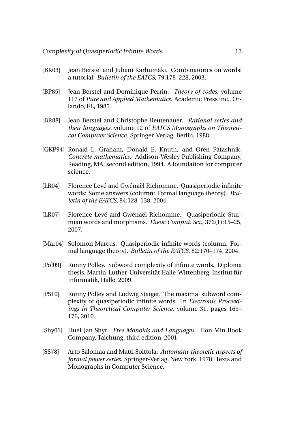- <span id="page-13-4"></span>[BK03] Jean Berstel and Juhani Karhumäki. Combinatorics on words: a tutorial. *Bulletin of the EATCS*, 79:178–228, 2003.
- <span id="page-13-6"></span>[BP85] Jean Berstel and Dominique Perrin. *Theory of codes*, volume 117 of *Pure and Applied Mathematics*. Academic Press Inc., Orlando, FL, 1985.
- <span id="page-13-7"></span>[BR88] Jean Berstel and Christophe Reutenauer. *Rational series and their languages*, volume 12 of *EATCS Monographs on Theoretical Computer Science*. Springer-Verlag, Berlin, 1988.
- [GKP94] Ronald L. Graham, Donald E. Knuth, and Oren Patashnik. *Concrete mathematics*. Addison-Wesley Publishing Company, Reading, MA, second edition, 1994. A foundation for computer science.
- <span id="page-13-1"></span>[LR04] Florence Levé and Gwénaël Richomme. Quasiperiodic infinite words: Some answers (column: Formal language theory). *Bulletin of the EATCS*, 84:128–138, 2004.
- <span id="page-13-2"></span>[LR07] Florence Levé and Gwénaël Richomme. Quasiperiodic Sturmian words and morphisms. *Theor. Comput. Sci.*, 372(1):15–25, 2007.
- <span id="page-13-0"></span>[Mar04] Solomon Marcus. Quasiperiodic infinite words (column: Formal language theory). *Bulletin of the EATCS*, 82:170–174, 2004.
- <span id="page-13-9"></span>[Pol09] Ronny Polley. Subword complexity of infinite words. Diploma thesis, Martin-Luther-Universität Halle-Wittenberg, Institut für Informatik, Halle, 2009.
- <span id="page-13-3"></span>[PS10] Ronny Polley and Ludwig Staiger. The maximal subword complexity of quasiperiodic infinite words. In *Electronic Proceedings in Theoretical Computer Science*, volume 31, pages 169– 176, 2010.
- <span id="page-13-5"></span>[Shy01] Huei-Jan Shyr. *Free Monoids and Languages*. Hon Min Book Company, Taichung, third edition, 2001.
- <span id="page-13-8"></span>[SS78] Arto Salomaa and Matti Soittola. *Automata-theoretic aspects of formal power series*. Springer-Verlag, New York, 1978. Texts and Monographs in Computer Science.